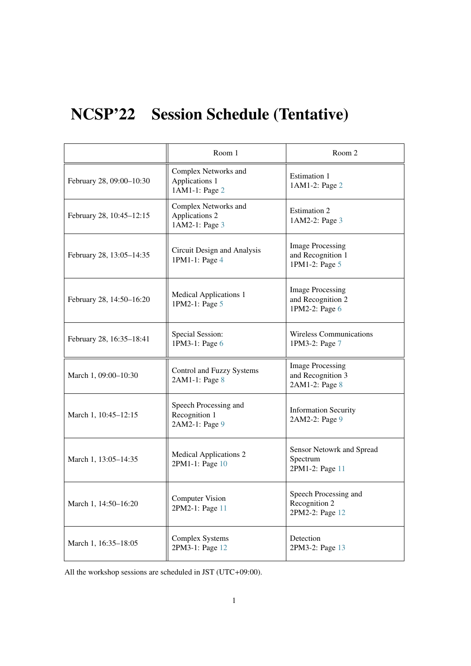# NCSP'22 Session Schedule (Tentative)

|                          | Room 1                                                   | Room 2                                                         |
|--------------------------|----------------------------------------------------------|----------------------------------------------------------------|
| February 28, 09:00-10:30 | Complex Networks and<br>Applications 1<br>1AM1-1: Page 2 | Estimation 1<br>1AM1-2: Page 2                                 |
| February 28, 10:45-12:15 | Complex Networks and<br>Applications 2<br>1AM2-1: Page 3 | <b>Estimation 2</b><br>1AM2-2: Page 3                          |
| February 28, 13:05-14:35 | Circuit Design and Analysis<br>1PM1-1: Page 4            | <b>Image Processing</b><br>and Recognition 1<br>1PM1-2: Page 5 |
| February 28, 14:50-16:20 | <b>Medical Applications 1</b><br>1PM2-1: Page 5          | <b>Image Processing</b><br>and Recognition 2<br>1PM2-2: Page 6 |
| February 28, 16:35-18:41 | Special Session:<br>1PM3-1: Page 6                       | <b>Wireless Communications</b><br>1PM3-2: Page 7               |
| March 1, 09:00-10:30     | Control and Fuzzy Systems<br>2AM1-1: Page 8              | <b>Image Processing</b><br>and Recognition 3<br>2AM1-2: Page 8 |
| March 1, 10:45-12:15     | Speech Processing and<br>Recognition 1<br>2AM2-1: Page 9 | <b>Information Security</b><br>2AM2-2: Page 9                  |
| March 1, 13:05-14:35     | <b>Medical Applications 2</b><br>2PM1-1: Page 10         | Sensor Netowrk and Spread<br>Spectrum<br>2PM1-2: Page 11       |
| March 1, 14:50-16:20     | <b>Computer Vision</b><br>2PM2-1: Page 11                | Speech Processing and<br>Recognition 2<br>2PM2-2: Page 12      |
| March 1, 16:35-18:05     | <b>Complex Systems</b><br>2PM3-1: Page 12                | Detection<br>2PM3-2: Page 13                                   |

All the workshop sessions are scheduled in JST (UTC+09:00).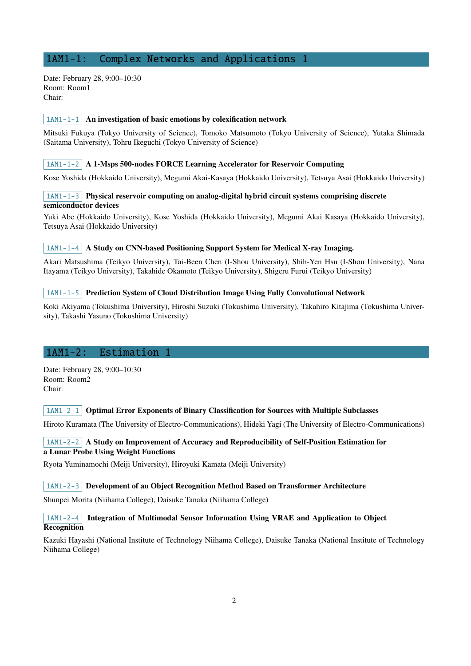# <span id="page-1-0"></span>1AM1-1: Complex Networks and Applications 1

Date: February 28, 9:00–10:30 Room: Room1 Chair:

## $\vert$  1AM1-1-1 An investigation of basic emotions by colexification network

Mitsuki Fukuya (Tokyo University of Science), Tomoko Matsumoto (Tokyo University of Science), Yutaka Shimada (Saitama University), Tohru Ikeguchi (Tokyo University of Science)

#### $|1AM1-1-2|$  A 1-Msps 500-nodes FORCE Learning Accelerator for Reservoir Computing

Kose Yoshida (Hokkaido University), Megumi Akai-Kasaya (Hokkaido University), Tetsuya Asai (Hokkaido University)

## $1AM1-1-3$  Physical reservoir computing on analog-digital hybrid circuit systems comprising discrete semiconductor devices

Yuki Abe (Hokkaido University), Kose Yoshida (Hokkaido University), Megumi Akai Kasaya (Hokkaido University), Tetsuya Asai (Hokkaido University)

#### $|1AM1-1-4|$  A Study on CNN-based Positioning Support System for Medical X-ray Imaging.

Akari Matsushima (Teikyo University), Tai-Been Chen (I-Shou University), Shih-Yen Hsu (I-Shou University), Nana Itayama (Teikyo University), Takahide Okamoto (Teikyo University), Shigeru Furui (Teikyo University)

#### $1AM1-1-5$  Prediction System of Cloud Distribution Image Using Fully Convolutional Network

Koki Akiyama (Tokushima University), Hiroshi Suzuki (Tokushima University), Takahiro Kitajima (Tokushima University), Takashi Yasuno (Tokushima University)

## <span id="page-1-1"></span>1AM1-2: Estimation 1

Date: February 28, 9:00–10:30 Room: Room2 Chair:

## $1AM1-2-1$  Optimal Error Exponents of Binary Classification for Sources with Multiple Subclasses

Hiroto Kuramata (The University of Electro-Communications), Hideki Yagi (The University of Electro-Communications)

## $\vert$  1AM1-2-2  $\vert$  A Study on Improvement of Accuracy and Reproducibility of Self-Position Estimation for a Lunar Probe Using Weight Functions

Ryota Yuminamochi (Meiji University), Hiroyuki Kamata (Meiji University)

#### $\mid$  1AM1-2-3 Development of an Object Recognition Method Based on Transformer Architecture

Shunpei Morita (Niihama College), Daisuke Tanaka (Niihama College)

## 1AM1-2-4 Integration of Multimodal Sensor Information Using VRAE and Application to Object Recognition

Kazuki Hayashi (National Institute of Technology Niihama College), Daisuke Tanaka (National Institute of Technology Niihama College)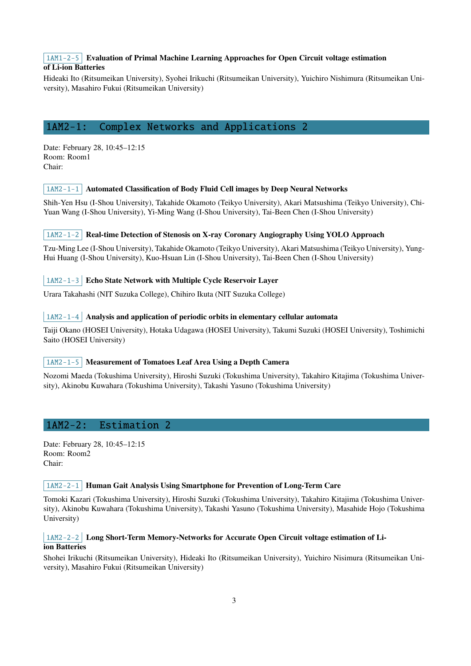# $1AM1-2-5$  Evaluation of Primal Machine Learning Approaches for Open Circuit voltage estimation of Li-ion Batteries

Hideaki Ito (Ritsumeikan University), Syohei Irikuchi (Ritsumeikan University), Yuichiro Nishimura (Ritsumeikan University), Masahiro Fukui (Ritsumeikan University)

# <span id="page-2-0"></span>1AM2-1: Complex Networks and Applications 2

Date: February 28, 10:45–12:15 Room: Room1 Chair:

# $\vert$  1AM2-1-1 Automated Classification of Body Fluid Cell images by Deep Neural Networks

Shih-Yen Hsu (I-Shou University), Takahide Okamoto (Teikyo University), Akari Matsushima (Teikyo University), Chi-Yuan Wang (I-Shou University), Yi-Ming Wang (I-Shou University), Tai-Been Chen (I-Shou University)

# 1AM2-1-2 Real-time Detection of Stenosis on X-ray Coronary Angiography Using YOLO Approach

Tzu-Ming Lee (I-Shou University), Takahide Okamoto (Teikyo University), Akari Matsushima (Teikyo University), Yung-Hui Huang (I-Shou University), Kuo-Hsuan Lin (I-Shou University), Tai-Been Chen (I-Shou University)

# 1AM2-1-3 Echo State Network with Multiple Cycle Reservoir Layer

Urara Takahashi (NIT Suzuka College), Chihiro Ikuta (NIT Suzuka College)

# $\mid$  1AM2-1-4 Analysis and application of periodic orbits in elementary cellular automata

Taiji Okano (HOSEI University), Hotaka Udagawa (HOSEI University), Takumi Suzuki (HOSEI University), Toshimichi Saito (HOSEI University)

## 1AM2-1-5 Measurement of Tomatoes Leaf Area Using a Depth Camera

Nozomi Maeda (Tokushima University), Hiroshi Suzuki (Tokushima University), Takahiro Kitajima (Tokushima University), Akinobu Kuwahara (Tokushima University), Takashi Yasuno (Tokushima University)

# <span id="page-2-1"></span>1AM2-2: Estimation 2

Date: February 28, 10:45–12:15 Room: Room2 Chair:

## $\vert$  1AM2-2-1 Human Gait Analysis Using Smartphone for Prevention of Long-Term Care

Tomoki Kazari (Tokushima University), Hiroshi Suzuki (Tokushima University), Takahiro Kitajima (Tokushima University), Akinobu Kuwahara (Tokushima University), Takashi Yasuno (Tokushima University), Masahide Hojo (Tokushima University)

## 1AM2-2-2 Long Short-Term Memory-Networks for Accurate Open Circuit voltage estimation of Liion Batteries

Shohei Irikuchi (Ritsumeikan University), Hideaki Ito (Ritsumeikan University), Yuichiro Nisimura (Ritsumeikan University), Masahiro Fukui (Ritsumeikan University)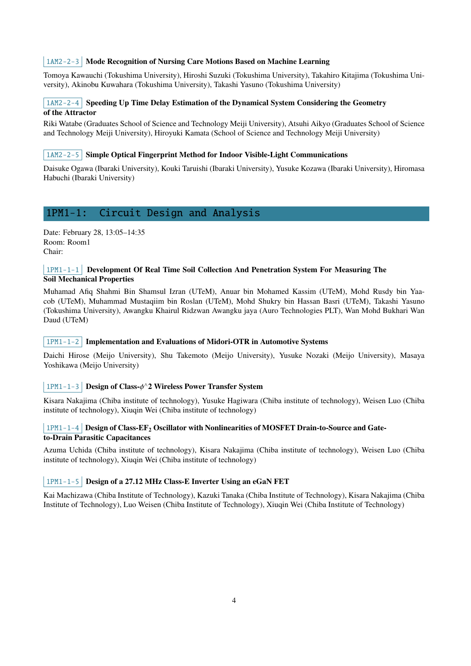# 1AM2-2-3 Mode Recognition of Nursing Care Motions Based on Machine Learning

Tomoya Kawauchi (Tokushima University), Hiroshi Suzuki (Tokushima University), Takahiro Kitajima (Tokushima University), Akinobu Kuwahara (Tokushima University), Takashi Yasuno (Tokushima University)

# $\lceil$  1AM2-2-4 Speeding Up Time Delay Estimation of the Dynamical System Considering the Geometry of the Attractor

Riki Watabe (Graduates School of Science and Technology Meiji University), Atsuhi Aikyo (Graduates School of Science and Technology Meiji University), Hiroyuki Kamata (School of Science and Technology Meiji University)

#### $1AM2-2-5$  Simple Optical Fingerprint Method for Indoor Visible-Light Communications

Daisuke Ogawa (Ibaraki University), Kouki Taruishi (Ibaraki University), Yusuke Kozawa (Ibaraki University), Hiromasa Habuchi (Ibaraki University)

# <span id="page-3-0"></span>1PM1-1: Circuit Design and Analysis

Date: February 28, 13:05–14:35 Room: Room1 Chair:

#### 1PM1-1-1 Development Of Real Time Soil Collection And Penetration System For Measuring The Soil Mechanical Properties

Muhamad Afiq Shahmi Bin Shamsul Izran (UTeM), Anuar bin Mohamed Kassim (UTeM), Mohd Rusdy bin Yaacob (UTeM), Muhammad Mustaqiim bin Roslan (UTeM), Mohd Shukry bin Hassan Basri (UTeM), Takashi Yasuno (Tokushima University), Awangku Khairul Ridzwan Awangku jaya (Auro Technologies PLT), Wan Mohd Bukhari Wan Daud (UTeM)

#### $\vert$  1PM1-1-2 Implementation and Evaluations of Midori-OTR in Automotive Systems

Daichi Hirose (Meijo University), Shu Takemoto (Meijo University), Yusuke Nozaki (Meijo University), Masaya Yoshikawa (Meijo University)

#### 1PM1-1-3 Design of Class- $\phi$ <sup>∧</sup>2 Wireless Power Transfer System

Kisara Nakajima (Chiba institute of technology), Yusuke Hagiwara (Chiba institute of technology), Weisen Luo (Chiba institute of technology), Xiuqin Wei (Chiba institute of technology)

## $1$ PM1-1-4 Design of Class-EF<sub>2</sub> Oscillator with Nonlinearities of MOSFET Drain-to-Source and Gateto-Drain Parasitic Capacitances

Azuma Uchida (Chiba institute of technology), Kisara Nakajima (Chiba institute of technology), Weisen Luo (Chiba institute of technology), Xiuqin Wei (Chiba institute of technology)

## 1PM1-1-5 Design of a 27.12 MHz Class-E Inverter Using an eGaN FET

Kai Machizawa (Chiba Institute of Technology), Kazuki Tanaka (Chiba Institute of Technology), Kisara Nakajima (Chiba Institute of Technology), Luo Weisen (Chiba Institute of Technology), Xiuqin Wei (Chiba Institute of Technology)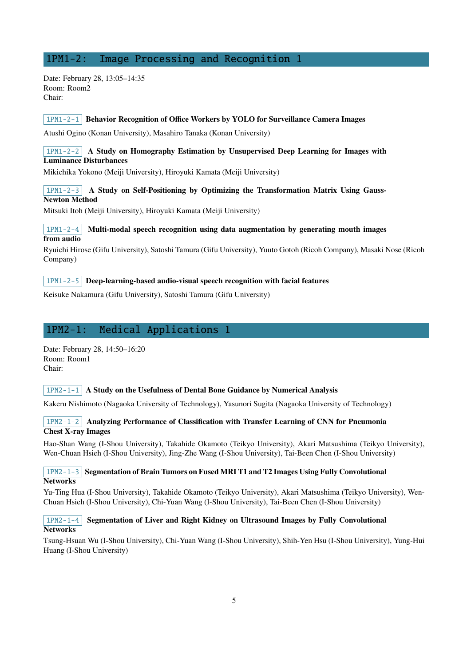# <span id="page-4-0"></span>1PM1-2: Image Processing and Recognition 1

Date: February 28, 13:05–14:35 Room: Room2 Chair:

#### $1$ PM1-2-1 Behavior Recognition of Office Workers by YOLO for Surveillance Camera Images

Atushi Ogino (Konan University), Masahiro Tanaka (Konan University)

## $1PM1-2-2$  A Study on Homography Estimation by Unsupervised Deep Learning for Images with Luminance Disturbances

Mikichika Yokono (Meiji University), Hiroyuki Kamata (Meiji University)

## $1PM1-2-3$  A Study on Self-Positioning by Optimizing the Transformation Matrix Using Gauss-Newton Method

Mitsuki Itoh (Meiji University), Hiroyuki Kamata (Meiji University)

## $1PM1-2-4$  Multi-modal speech recognition using data augmentation by generating mouth images from audio

Ryuichi Hirose (Gifu University), Satoshi Tamura (Gifu University), Yuuto Gotoh (Ricoh Company), Masaki Nose (Ricoh Company)

#### $\vert$  1PM1-2-5 Deep-learning-based audio-visual speech recognition with facial features

Keisuke Nakamura (Gifu University), Satoshi Tamura (Gifu University)

# <span id="page-4-1"></span>1PM2-1: Medical Applications 1

Date: February 28, 14:50–16:20 Room: Room1 Chair:

#### $1PM2-1-1$  A Study on the Usefulness of Dental Bone Guidance by Numerical Analysis

Kakeru Nishimoto (Nagaoka University of Technology), Yasunori Sugita (Nagaoka University of Technology)

## 1PM2-1-2 Analyzing Performance of Classification with Transfer Learning of CNN for Pneumonia Chest X-ray Images

Hao-Shan Wang (I-Shou University), Takahide Okamoto (Teikyo University), Akari Matsushima (Teikyo University), Wen-Chuan Hsieh (I-Shou University), Jing-Zhe Wang (I-Shou University), Tai-Been Chen (I-Shou University)

## $1PM2-1-3$  Segmentation of Brain Tumors on Fused MRI T1 and T2 Images Using Fully Convolutional Networks

Yu-Ting Hua (I-Shou University), Takahide Okamoto (Teikyo University), Akari Matsushima (Teikyo University), Wen-Chuan Hsieh (I-Shou University), Chi-Yuan Wang (I-Shou University), Tai-Been Chen (I-Shou University)

## $1PM2-1-4$  Segmentation of Liver and Right Kidney on Ultrasound Images by Fully Convolutional **Networks**

Tsung-Hsuan Wu (I-Shou University), Chi-Yuan Wang (I-Shou University), Shih-Yen Hsu (I-Shou University), Yung-Hui Huang (I-Shou University)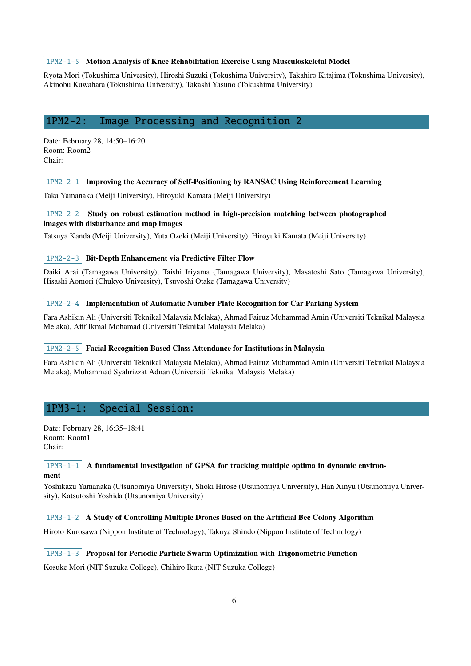#### 1PM2-1-5 Motion Analysis of Knee Rehabilitation Exercise Using Musculoskeletal Model

Ryota Mori (Tokushima University), Hiroshi Suzuki (Tokushima University), Takahiro Kitajima (Tokushima University), Akinobu Kuwahara (Tokushima University), Takashi Yasuno (Tokushima University)

# <span id="page-5-0"></span>1PM2-2: Image Processing and Recognition 2

Date: February 28, 14:50–16:20 Room: Room2 Chair:

 $1$ PM2-2-1 Improving the Accuracy of Self-Positioning by RANSAC Using Reinforcement Learning

Taka Yamanaka (Meiji University), Hiroyuki Kamata (Meiji University)

# 1PM2-2-2 Study on robust estimation method in high-precision matching between photographed images with disturbance and map images

Tatsuya Kanda (Meiji University), Yuta Ozeki (Meiji University), Hiroyuki Kamata (Meiji University)

## 1PM2-2-3 Bit-Depth Enhancement via Predictive Filter Flow

Daiki Arai (Tamagawa University), Taishi Iriyama (Tamagawa University), Masatoshi Sato (Tamagawa University), Hisashi Aomori (Chukyo University), Tsuyoshi Otake (Tamagawa University)

#### $1PM2-2-4$  Implementation of Automatic Number Plate Recognition for Car Parking System

Fara Ashikin Ali (Universiti Teknikal Malaysia Melaka), Ahmad Fairuz Muhammad Amin (Universiti Teknikal Malaysia Melaka), Afif Ikmal Mohamad (Universiti Teknikal Malaysia Melaka)

#### 1PM2-2-5 Facial Recognition Based Class Attendance for Institutions in Malaysia

Fara Ashikin Ali (Universiti Teknikal Malaysia Melaka), Ahmad Fairuz Muhammad Amin (Universiti Teknikal Malaysia Melaka), Muhammad Syahrizzat Adnan (Universiti Teknikal Malaysia Melaka)

# <span id="page-5-1"></span>1PM3-1: Special Session:

Date: February 28, 16:35–18:41 Room: Room1 Chair:

 $1PM3-1-1$  A fundamental investigation of GPSA for tracking multiple optima in dynamic environment

Yoshikazu Yamanaka (Utsunomiya University), Shoki Hirose (Utsunomiya University), Han Xinyu (Utsunomiya University), Katsutoshi Yoshida (Utsunomiya University)

## $1PM3-1-2$  A Study of Controlling Multiple Drones Based on the Artificial Bee Colony Algorithm

Hiroto Kurosawa (Nippon Institute of Technology), Takuya Shindo (Nippon Institute of Technology)

# $\lfloor 1PM3-1-3 \rfloor$  Proposal for Periodic Particle Swarm Optimization with Trigonometric Function

Kosuke Mori (NIT Suzuka College), Chihiro Ikuta (NIT Suzuka College)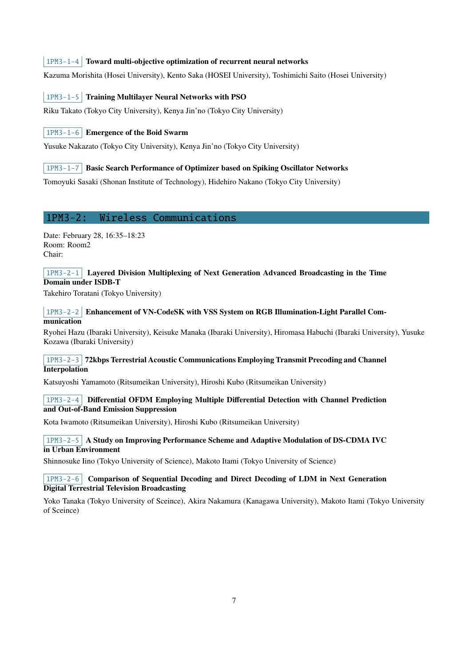## $1PM3-1-4$  Toward multi-objective optimization of recurrent neural networks

Kazuma Morishita (Hosei University), Kento Saka (HOSEI University), Toshimichi Saito (Hosei University)

#### 1PM3-1-5 Training Multilayer Neural Networks with PSO

Riku Takato (Tokyo City University), Kenya Jin'no (Tokyo City University)

# 1PM3-1-6 Emergence of the Boid Swarm

Yusuke Nakazato (Tokyo City University), Kenya Jin'no (Tokyo City University)

## 1PM3-1-7 Basic Search Performance of Optimizer based on Spiking Oscillator Networks

Tomoyuki Sasaki (Shonan Institute of Technology), Hidehiro Nakano (Tokyo City University)

# <span id="page-6-0"></span>1PM3-2: Wireless Communications

Date: February 28, 16:35–18:23 Room: Room2 Chair:

## $1$ PM3-2-1 Layered Division Multiplexing of Next Generation Advanced Broadcasting in the Time Domain under ISDB-T

Takehiro Toratani (Tokyo University)

## 1PM3-2-2 Enhancement of VN-CodeSK with VSS System on RGB Illumination-Light Parallel Communication

Ryohei Hazu (Ibaraki University), Keisuke Manaka (Ibaraki University), Hiromasa Habuchi (Ibaraki University), Yusuke Kozawa (Ibaraki University)

# 1PM3-2-3 72kbps Terrestrial Acoustic Communications Employing Transmit Precoding and Channel **Interpolation**

Katsuyoshi Yamamoto (Ritsumeikan University), Hiroshi Kubo (Ritsumeikan University)

## 1PM3-2-4 Differential OFDM Employing Multiple Differential Detection with Channel Prediction and Out-of-Band Emission Suppression

Kota Iwamoto (Ritsumeikan University), Hiroshi Kubo (Ritsumeikan University)

## 1PM3-2-5 A Study on Improving Performance Scheme and Adaptive Modulation of DS-CDMA IVC in Urban Environment

Shinnosuke Iino (Tokyo University of Science), Makoto Itami (Tokyo University of Science)

#### 1PM3-2-6 Comparison of Sequential Decoding and Direct Decoding of LDM in Next Generation Digital Terrestrial Television Broadcasting

Yoko Tanaka (Tokyo University of Sceince), Akira Nakamura (Kanagawa University), Makoto Itami (Tokyo University of Sceince)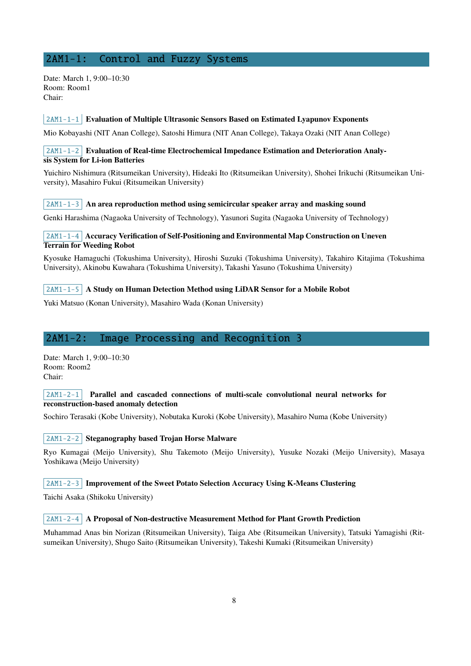# <span id="page-7-0"></span>2AM1-1: Control and Fuzzy Systems

Date: March 1, 9:00–10:30 Room: Room1 Chair:

#### $\mid$  2AM1-1-1 Evaluation of Multiple Ultrasonic Sensors Based on Estimated Lyapunov Exponents

Mio Kobayashi (NIT Anan College), Satoshi Himura (NIT Anan College), Takaya Ozaki (NIT Anan College)

#### 2AM1-1-2 Evaluation of Real-time Electrochemical Impedance Estimation and Deterioration Analysis System for Li-ion Batteries

Yuichiro Nishimura (Ritsumeikan University), Hideaki Ito (Ritsumeikan University), Shohei Irikuchi (Ritsumeikan University), Masahiro Fukui (Ritsumeikan University)

#### $2AM1-1-3$  An area reproduction method using semicircular speaker array and masking sound

Genki Harashima (Nagaoka University of Technology), Yasunori Sugita (Nagaoka University of Technology)

# 2AM1-1-4 Accuracy Verification of Self-Positioning and Environmental Map Construction on Uneven Terrain for Weeding Robot

Kyosuke Hamaguchi (Tokushima University), Hiroshi Suzuki (Tokushima University), Takahiro Kitajima (Tokushima University), Akinobu Kuwahara (Tokushima University), Takashi Yasuno (Tokushima University)

#### $2AM1-1-5$  A Study on Human Detection Method using LiDAR Sensor for a Mobile Robot

Yuki Matsuo (Konan University), Masahiro Wada (Konan University)

# <span id="page-7-1"></span>2AM1-2: Image Processing and Recognition 3

Date: March 1, 9:00–10:30 Room: Room2 Chair:

#### $2AM1-2-1$  Parallel and cascaded connections of multi-scale convolutional neural networks for reconstruction-based anomaly detection

Sochiro Terasaki (Kobe University), Nobutaka Kuroki (Kobe University), Masahiro Numa (Kobe University)

2AM1-2-2 Steganography based Trojan Horse Malware

Ryo Kumagai (Meijo University), Shu Takemoto (Meijo University), Yusuke Nozaki (Meijo University), Masaya Yoshikawa (Meijo University)

#### 2AM1-2-3 Improvement of the Sweet Potato Selection Accuracy Using K-Means Clustering

Taichi Asaka (Shikoku University)

#### $\begin{array}{c|c} 2AM1-2-4 & A \end{array}$  Proposal of Non-destructive Measurement Method for Plant Growth Prediction

Muhammad Anas bin Norizan (Ritsumeikan University), Taiga Abe (Ritsumeikan University), Tatsuki Yamagishi (Ritsumeikan University), Shugo Saito (Ritsumeikan University), Takeshi Kumaki (Ritsumeikan University)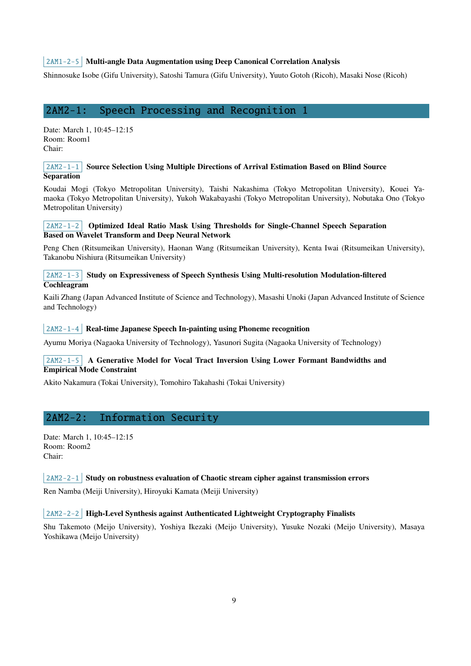# $2AM1-2-5$  Multi-angle Data Augmentation using Deep Canonical Correlation Analysis

Shinnosuke Isobe (Gifu University), Satoshi Tamura (Gifu University), Yuuto Gotoh (Ricoh), Masaki Nose (Ricoh)

# <span id="page-8-0"></span>2AM2-1: Speech Processing and Recognition 1

Date: March 1, 10:45–12:15 Room: Room1 Chair:

#### 2AM2-1-1 Source Selection Using Multiple Directions of Arrival Estimation Based on Blind Source **Separation**

Koudai Mogi (Tokyo Metropolitan University), Taishi Nakashima (Tokyo Metropolitan University), Kouei Yamaoka (Tokyo Metropolitan University), Yukoh Wakabayashi (Tokyo Metropolitan University), Nobutaka Ono (Tokyo Metropolitan University)

#### 2AM2-1-2 Optimized Ideal Ratio Mask Using Thresholds for Single-Channel Speech Separation Based on Wavelet Transform and Deep Neural Network

Peng Chen (Ritsumeikan University), Haonan Wang (Ritsumeikan University), Kenta Iwai (Ritsumeikan University), Takanobu Nishiura (Ritsumeikan University)

## $2AM2-1-3$  Study on Expressiveness of Speech Synthesis Using Multi-resolution Modulation-filtered Cochleagram

Kaili Zhang (Japan Advanced Institute of Science and Technology), Masashi Unoki (Japan Advanced Institute of Science and Technology)

#### $2AM2-1-4$  Real-time Japanese Speech In-painting using Phoneme recognition

Ayumu Moriya (Nagaoka University of Technology), Yasunori Sugita (Nagaoka University of Technology)

# 2AM2-1-5 A Generative Model for Vocal Tract Inversion Using Lower Formant Bandwidths and Empirical Mode Constraint

Akito Nakamura (Tokai University), Tomohiro Takahashi (Tokai University)

# 2AM2-2: Information Security

Date: March 1, 10:45–12:15 Room: Room2 Chair:

#### $2AM2-2-1$  Study on robustness evaluation of Chaotic stream cipher against transmission errors

Ren Namba (Meiji University), Hiroyuki Kamata (Meiji University)

#### $\vert$  2AM2-2-2 High-Level Synthesis against Authenticated Lightweight Cryptography Finalists

Shu Takemoto (Meijo University), Yoshiya Ikezaki (Meijo University), Yusuke Nozaki (Meijo University), Masaya Yoshikawa (Meijo University)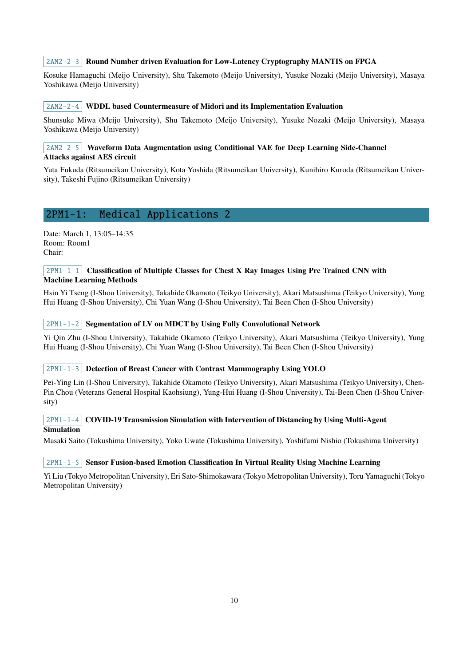#### 2AM2-2-3 Round Number driven Evaluation for Low-Latency Cryptography MANTIS on FPGA

Kosuke Hamaguchi (Meijo University), Shu Takemoto (Meijo University), Yusuke Nozaki (Meijo University), Masaya Yoshikawa (Meijo University)

#### $2AM2-2-4$  WDDL based Countermeasure of Midori and its Implementation Evaluation

Shunsuke Miwa (Meijo University), Shu Takemoto (Meijo University), Yusuke Nozaki (Meijo University), Masaya Yoshikawa (Meijo University)

#### $2AM2-2-5$  Waveform Data Augmentation using Conditional VAE for Deep Learning Side-Channel Attacks against AES circuit

Yuta Fukuda (Ritsumeikan University), Kota Yoshida (Ritsumeikan University), Kunihiro Kuroda (Ritsumeikan University), Takeshi Fujino (Ritsumeikan University)

# <span id="page-9-0"></span>2PM1-1: Medical Applications 2

Date: March 1, 13:05–14:35 Room: Room1 Chair:

#### $2PM1-1-1$  Classification of Multiple Classes for Chest X Ray Images Using Pre Trained CNN with Machine Learning Methods

Hsin Yi Tseng (I-Shou University), Takahide Okamoto (Teikyo University), Akari Matsushima (Teikyo University), Yung Hui Huang (I-Shou University), Chi Yuan Wang (I-Shou University), Tai Been Chen (I-Shou University)

## $|2PM1-1-2|$  Segmentation of LV on MDCT by Using Fully Convolutional Network

Yi Qin Zhu (I-Shou University), Takahide Okamoto (Teikyo University), Akari Matsushima (Teikyo University), Yung Hui Huang (I-Shou University), Chi Yuan Wang (I-Shou University), Tai Been Chen (I-Shou University)

#### 2PM1-1-3 Detection of Breast Cancer with Contrast Mammography Using YOLO

Pei-Ying Lin (I-Shou University), Takahide Okamoto (Teikyo University), Akari Matsushima (Teikyo University), Chen-Pin Chou (Veterans General Hospital Kaohsiung), Yung-Hui Huang (I-Shou University), Tai-Been Chen (I-Shou University)

#### $2PM1-1-4$  COVID-19 Transmission Simulation with Intervention of Distancing by Using Multi-Agent Simulation

Masaki Saito (Tokushima University), Yoko Uwate (Tokushima University), Yoshifumi Nishio (Tokushima University)

#### $2PM1-1-5$  Sensor Fusion-based Emotion Classification In Virtual Reality Using Machine Learning

Yi Liu (Tokyo Metropolitan University), Eri Sato-Shimokawara (Tokyo Metropolitan University), Toru Yamaguchi (Tokyo Metropolitan University)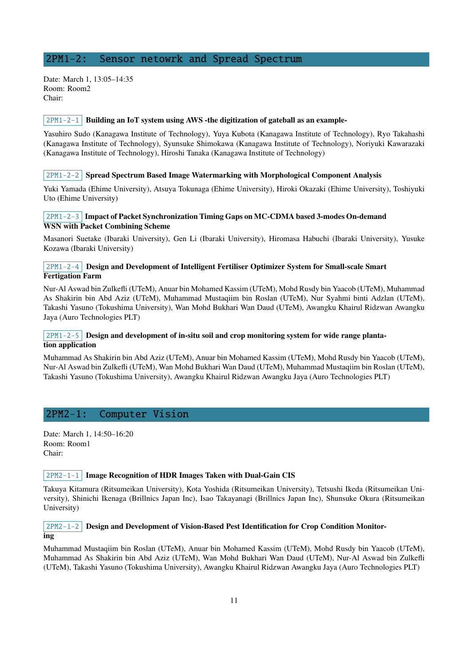# <span id="page-10-0"></span>2PM1-2: Sensor netowrk and Spread Spectrum

Date: March 1, 13:05–14:35 Room: Room2 Chair:

#### $2PM1-2-1$  Building an IoT system using AWS -the digitization of gateball as an example-

Yasuhiro Sudo (Kanagawa Institute of Technology), Yuya Kubota (Kanagawa Institute of Technology), Ryo Takahashi (Kanagawa Institute of Technology), Syunsuke Shimokawa (Kanagawa Institute of Technology), Noriyuki Kawarazaki (Kanagawa Institute of Technology), Hiroshi Tanaka (Kanagawa Institute of Technology)

#### $2PM1-2-2$  Spread Spectrum Based Image Watermarking with Morphological Component Analysis

Yuki Yamada (Ehime University), Atsuya Tokunaga (Ehime University), Hiroki Okazaki (Ehime University), Toshiyuki Uto (Ehime University)

#### 2PM1-2-3 Impact of Packet Synchronization Timing Gaps on MC-CDMA based 3-modes On-demand WSN with Packet Combining Scheme

Masanori Suetake (Ibaraki University), Gen Li (Ibaraki University), Hiromasa Habuchi (Ibaraki University), Yusuke Kozawa (Ibaraki University)

## 2PM1-2-4 Design and Development of Intelligent Fertiliser Optimizer System for Small-scale Smart Fertigation Farm

Nur-Al Aswad bin Zulkefli (UTeM), Anuar bin Mohamed Kassim (UTeM), Mohd Rusdy bin Yaacob (UTeM), Muhammad As Shakirin bin Abd Aziz (UTeM), Muhammad Mustaqiim bin Roslan (UTeM), Nur Syahmi binti Adzlan (UTeM), Takashi Yasuno (Tokushima University), Wan Mohd Bukhari Wan Daud (UTeM), Awangku Khairul Ridzwan Awangku Jaya (Auro Technologies PLT)

# $2PM1-2-5$  Design and development of in-situ soil and crop monitoring system for wide range plantation application

Muhammad As Shakirin bin Abd Aziz (UTeM), Anuar bin Mohamed Kassim (UTeM), Mohd Rusdy bin Yaacob (UTeM), Nur-Al Aswad bin Zulkefli (UTeM), Wan Mohd Bukhari Wan Daud (UTeM), Muhammad Mustaqiim bin Roslan (UTeM), Takashi Yasuno (Tokushima University), Awangku Khairul Ridzwan Awangku Jaya (Auro Technologies PLT)

# <span id="page-10-1"></span>2PM2-1: Computer Vision

Date: March 1, 14:50–16:20 Room: Room1 Chair:

#### 2PM2-1-1 Image Recognition of HDR Images Taken with Dual-Gain CIS

Takuya Kitamura (Ritsumeikan University), Kota Yoshida (Ritsumeikan University), Tetsushi Ikeda (Ritsumeikan University), Shinichi Ikenaga (Brillnics Japan Inc), Isao Takayanagi (Brillnics Japan Inc), Shunsuke Okura (Ritsumeikan University)

#### 2PM2-1-2 Design and Development of Vision-Based Pest Identification for Crop Condition Monitoring

Muhammad Mustaqiim bin Roslan (UTeM), Anuar bin Mohamed Kassim (UTeM), Mohd Rusdy bin Yaacob (UTeM), Muhammad As Shakirin bin Abd Aziz (UTeM), Wan Mohd Bukhari Wan Daud (UTeM), Nur-Al Aswad bin Zulkefli (UTeM), Takashi Yasuno (Tokushima University), Awangku Khairul Ridzwan Awangku Jaya (Auro Technologies PLT)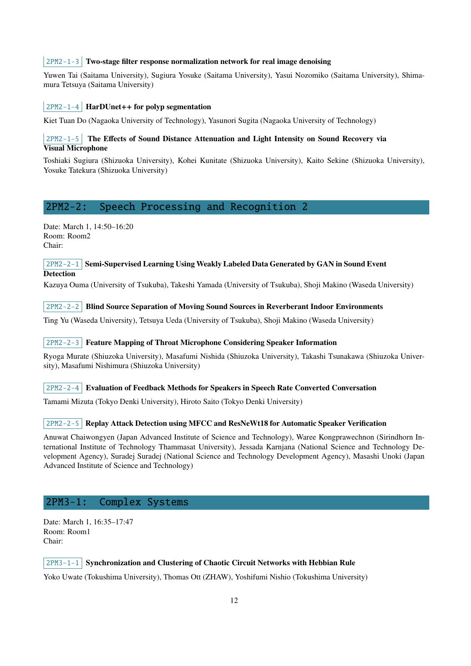#### $2PM2-1-3$  Two-stage filter response normalization network for real image denoising

Yuwen Tai (Saitama University), Sugiura Yosuke (Saitama University), Yasui Nozomiko (Saitama University), Shimamura Tetsuya (Saitama University)

#### $|2PM2-1-4|$  HarDUnet++ for polyp segmentation

Kiet Tuan Do (Nagaoka University of Technology), Yasunori Sugita (Nagaoka University of Technology)

# $2PM2-1-5$  The Effects of Sound Distance Attenuation and Light Intensity on Sound Recovery via Visual Microphone

Toshiaki Sugiura (Shizuoka University), Kohei Kunitate (Shizuoka University), Kaito Sekine (Shizuoka University), Yosuke Tatekura (Shizuoka University)

# <span id="page-11-0"></span>2PM2-2: Speech Processing and Recognition 2

Date: March 1, 14:50–16:20 Room: Room2 Chair:

#### $2PM2-2-1$  Semi-Supervised Learning Using Weakly Labeled Data Generated by GAN in Sound Event **Detection**

Kazuya Ouma (University of Tsukuba), Takeshi Yamada (University of Tsukuba), Shoji Makino (Waseda University)

2PM2-2-2 Blind Source Separation of Moving Sound Sources in Reverberant Indoor Environments

Ting Yu (Waseda University), Tetsuya Ueda (University of Tsukuba), Shoji Makino (Waseda University)

#### $2PM2-2-3$  Feature Mapping of Throat Microphone Considering Speaker Information

Ryoga Murate (Shiuzoka University), Masafumi Nishida (Shiuzoka University), Takashi Tsunakawa (Shiuzoka University), Masafumi Nishimura (Shiuzoka University)

 $2PM2-2-4$  Evaluation of Feedback Methods for Speakers in Speech Rate Converted Conversation

Tamami Mizuta (Tokyo Denki University), Hiroto Saito (Tokyo Denki University)

#### 2PM2-2-5 Replay Attack Detection using MFCC and ResNeWt18 for Automatic Speaker Verification

Anuwat Chaiwongyen (Japan Advanced Institute of Science and Technology), Waree Kongprawechnon (Sirindhorn International Institute of Technology Thammasat University), Jessada Karnjana (National Science and Technology Development Agency), Suradej Suradej (National Science and Technology Development Agency), Masashi Unoki (Japan Advanced Institute of Science and Technology)

# 2PM3-1: Complex Systems

Date: March 1, 16:35–17:47 Room: Room1 Chair:

#### $2PM3-1-1$  Synchronization and Clustering of Chaotic Circuit Networks with Hebbian Rule

Yoko Uwate (Tokushima University), Thomas Ott (ZHAW), Yoshifumi Nishio (Tokushima University)